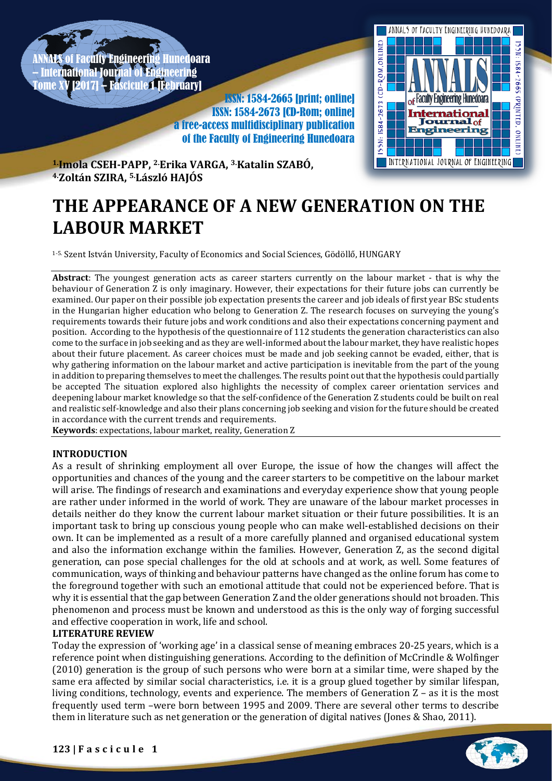Faculty Engineering Hunedoara – International Journal of Engineering **Fascicule 1 [February]** 

ISSN: 1584-2665 [print; online] ISSN: 1584-2673 [CD-Rom; online] a free-access multidisciplinary publication of the Faculty of Engineering Hunedoara



**1.Imola CSEH-PAPP, 2. Erika VARGA, 3. Katalin SZABÓ, 4. Zoltán SZIRA, 5. László HAJÓS**

# **THE APPEARANCE OF A NEW GENERATION ON THE LABOUR MARKET**

1-5. Szent István University, Faculty of Economics and Social Sciences, Gödöllő, HUNGARY

**Abstract**: The youngest generation acts as career starters currently on the labour market - that is why the behaviour of Generation Z is only imaginary. However, their expectations for their future jobs can currently be examined. Our paper on their possible job expectation presents the career and job ideals of first year BSc students in the Hungarian higher education who belong to Generation Z. The research focuses on surveying the young's requirements towards their future jobs and work conditions and also their expectations concerning payment and position. According to the hypothesis of the questionnaire of 112 students the generation characteristics can also come to the surface in job seeking and as they are well-informed about the labour market, they have realistic hopes about their future placement. As career choices must be made and job seeking cannot be evaded, either, that is why gathering information on the labour market and active participation is inevitable from the part of the young in addition to preparing themselves to meet the challenges. The results point out that the hypothesis could partially be accepted The situation explored also highlights the necessity of complex career orientation services and deepening labour market knowledge so that the self-confidence of the Generation Z students could be built on real and realistic self-knowledge and also their plans concerning job seeking and vision for the future should be created in accordance with the current trends and requirements.

**Keywords**: expectations, labour market, reality, Generation Z

## **INTRODUCTION**

As a result of shrinking employment all over Europe, the issue of how the changes will affect the opportunities and chances of the young and the career starters to be competitive on the labour market will arise. The findings of research and examinations and everyday experience show that young people are rather under informed in the world of work. They are unaware of the labour market processes in details neither do they know the current labour market situation or their future possibilities. It is an important task to bring up conscious young people who can make well-established decisions on their own. It can be implemented as a result of a more carefully planned and organised educational system and also the information exchange within the families. However, Generation Z, as the second digital generation, can pose special challenges for the old at schools and at work, as well. Some features of communication, ways of thinking and behaviour patterns have changed as the online forum has come to the foreground together with such an emotional attitude that could not be experienced before. That is why it is essential that the gap between Generation Z and the older generations should not broaden. This phenomenon and process must be known and understood as this is the only way of forging successful and effective cooperation in work, life and school.

# **LITERATURE REVIEW**

Today the expression of 'working age' in a classical sense of meaning embraces 20-25 years, which is a reference point when distinguishing generations. According to the definition of McCrindle & Wolfinger (2010) generation is the group of such persons who were born at a similar time, were shaped by the same era affected by similar social characteristics, i.e. it is a group glued together by similar lifespan, living conditions, technology, events and experience. The members of Generation Z – as it is the most frequently used term –were born between 1995 and 2009. There are several other terms to describe them in literature such as net generation or the generation of digital natives (Jones & Shao, 2011).

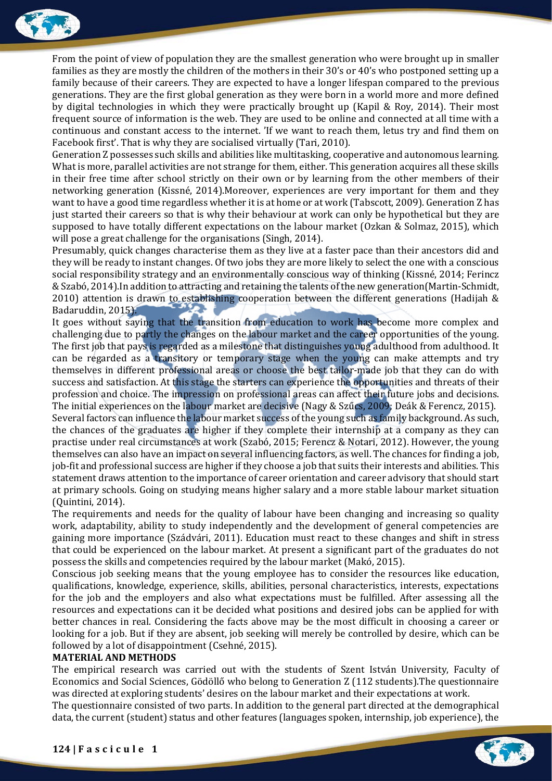

From the point of view of population they are the smallest generation who were brought up in smaller families as they are mostly the children of the mothers in their 30's or 40's who postponed setting up a family because of their careers. They are expected to have a longer lifespan compared to the previous generations. They are the first global generation as they were born in a world more and more defined by digital technologies in which they were practically brought up (Kapil & Roy, 2014). Their most frequent source of information is the web. They are used to be online and connected at all time with a continuous and constant access to the internet. 'If we want to reach them, letus try and find them on Facebook first'. That is why they are socialised virtually (Tari, 2010).

Generation Z possesses such skills and abilities like multitasking, cooperative and autonomous learning. What is more, parallel activities are not strange for them, either. This generation acquires all these skills in their free time after school strictly on their own or by learning from the other members of their networking generation (Kissné, 2014).Moreover, experiences are very important for them and they want to have a good time regardless whether it is at home or at work (Tabscott, 2009). Generation Z has just started their careers so that is why their behaviour at work can only be hypothetical but they are supposed to have totally different expectations on the labour market (Ozkan & Solmaz, 2015), which will pose a great challenge for the organisations (Singh, 2014).

Presumably, quick changes characterise them as they live at a faster pace than their ancestors did and they will be ready to instant changes. Of two jobs they are more likely to select the one with a conscious social responsibility strategy and an environmentally conscious way of thinking (Kissné, 2014; Ferincz &Szabó, 2014).In addition to attracting and retaining the talents of the new generation(Martin-Schmidt, 2010) attention is drawn to establishing cooperation between the different generations (Hadijah & Badaruddin, 2015).

It goes without saying that the transition from education to work has become more complex and challenging due to partly the changes on the labour market and the career opportunities of the young. The first job that pays is regarded as a milestone that distinguishes young adulthood from adulthood. It can be regarded as a transitory or temporary stage when the young can make attempts and try themselves in different professional areas or choose the best tailor-made job that they can do with success and satisfaction. At this stage the starters can experience the opportunities and threats of their profession and choice. The impression on professional areas can affect their future jobs and decisions. The initial experiences on the labour market are decisive (Nagy & Szűcs, 2009; Deák & Ferencz, 2015). Several factors can influence the labour market success of the young such as family background. As such, the chances of the graduates are higher if they complete their internship at a company as they can practise under real circumstances at work (Szabó, 2015; Ferencz & Notari, 2012). However, the young themselves can also have an impact on several influencing factors, as well. The chances for finding a job, job-fit and professional success are higher if they choose a job that suits their interests and abilities. This statement draws attention to the importance of career orientation and career advisory that should start at primary schools. Going on studying means higher salary and a more stable labour market situation (Quintini, 2014).

The requirements and needs for the quality of labour have been changing and increasing so quality work, adaptability, ability to study independently and the development of general competencies are gaining more importance (Szádvári, 2011). Education must react to these changes and shift in stress that could be experienced on the labour market. At present a significant part of the graduates do not possess the skills and competencies required by the labour market (Makó, 2015).

Conscious job seeking means that the young employee has to consider the resources like education, qualifications, knowledge, experience, skills, abilities, personal characteristics, interests, expectations for the job and the employers and also what expectations must be fulfilled. After assessing all the resources and expectations can it be decided what positions and desired jobs can be applied for with better chances in real. Considering the facts above may be the most difficult in choosing a career or looking for a job. But if they are absent, job seeking will merely be controlled by desire, which can be followed by a lot of disappointment (Csehné, 2015).

## **MATERIAL AND METHODS**

The empirical research was carried out with the students of Szent István University, Faculty of Economics and Social Sciences, Gödöllő who belong to Generation Z (112 students).The questionnaire was directed at exploring students' desires on the labour market and their expectations at work.

The questionnaire consisted of two parts. In addition to the general part directed at the demographical data, the current (student) status and other features (languages spoken, internship, job experience), the

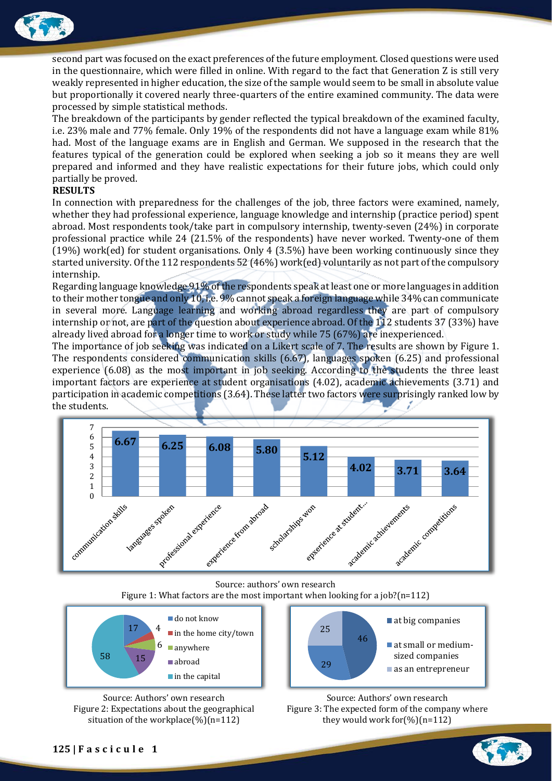

second part was focused on the exact preferences of the future employment. Closed questions were used in the questionnaire, which were filled in online. With regard to the fact that Generation Z is still very weakly represented in higher education, the size of the sample would seem to be small in absolute value but proportionally it covered nearly three-quarters of the entire examined community. The data were processed by simple statistical methods.

The breakdown of the participants by gender reflected the typical breakdown of the examined faculty, i.e. 23% male and 77% female. Only 19% of the respondents did not have a language exam while 81% had. Most of the language exams are in English and German. We supposed in the research that the features typical of the generation could be explored when seeking a job so it means they are well prepared and informed and they have realistic expectations for their future jobs, which could only partially be proved.

# **RESULTS**

In connection with preparedness for the challenges of the job, three factors were examined, namely, whether they had professional experience, language knowledge and internship (practice period) spent abroad. Most respondents took/take part in compulsory internship, twenty-seven (24%) in corporate professional practice while 24 (21.5% of the respondents) have never worked. Twenty-one of them (19%) work(ed) for student organisations. Only 4 (3.5%) have been working continuously since they started university. Of the 112 respondents 52 (46%) work(ed) voluntarily as not part of the compulsory internship.

Regarding language knowledge 91% of the respondents speak at least one or more languages in addition to their mother tongue and only 10, i.e. 9% cannot speak a foreign language while 34% can communicate in several more. Language learning and working abroad regardless they are part of compulsory internship or not, are part of the question about experience abroad. Of the 112 students 37 (33%) have already lived abroad for a longer time to work or study while 75 (67%) are inexperienced.

The importance of job seeking was indicated on a Likert scale of 7. The results are shown by Figure 1. The respondents considered communication skills (6.67), languages spoken (6.25) and professional experience (6.08) as the most important in job seeking. According to the students the three least important factors are experience at student organisations (4.02), academic achievements (3.71) and participation in academic competitions (3.64). These latter two factors were surprisingly ranked low by the students.



Source: authors' own research Figure 1: What factors are the most important when looking for a job?(n=112)



Source: Authors' own research Figure 2: Expectations about the geographical situation of the workplace $(\%)$ (n=112)





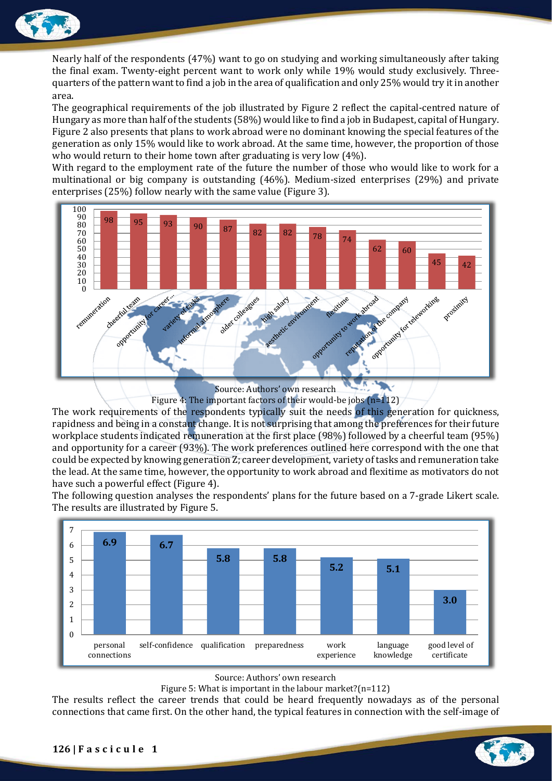

Nearly half of the respondents (47%) want to go on studying and working simultaneously after taking the final exam. Twenty-eight percent want to work only while 19% would study exclusively. Threequarters of the pattern want to find a job in the area of qualification and only 25% would try it in another area.

The geographical requirements of the job illustrated by Figure 2 reflect the capital-centred nature of Hungary as more than half of the students (58%) would like to find a job in Budapest, capital of Hungary. Figure 2 also presents that plans to work abroad were no dominant knowing the special features of the generation as only 15% would like to work abroad. At the same time, however, the proportion of those who would return to their home town after graduating is very low (4%).

With regard to the employment rate of the future the number of those who would like to work for a multinational or big company is outstanding (46%). Medium-sized enterprises (29%) and private enterprises (25%) follow nearly with the same value (Figure 3).



Source: Authors' own research

Figure 4: The important factors of their would-be jobs (n=112)

The work requirements of the respondents typically suit the needs of this generation for quickness, rapidness and being in a constant change. It is not surprising that among the preferences for their future workplace students indicated remuneration at the first place (98%) followed by a cheerful team (95%) and opportunity for a career (93%). The work preferences outlined here correspond with the one that could be expected by knowing generation Z; career development, variety of tasks and remuneration take the lead. At the same time, however, the opportunity to work abroad and flexitime as motivators do not have such a powerful effect (Figure 4).

The following question analyses the respondents' plans for the future based on a 7-grade Likert scale. The results are illustrated by Figure 5.



## Source: Authors' own research

Figure 5: What is important in the labour market?(n=112)

The results reflect the career trends that could be heard frequently nowadays as of the personal connections that came first. On the other hand, the typical features in connection with the self-image of

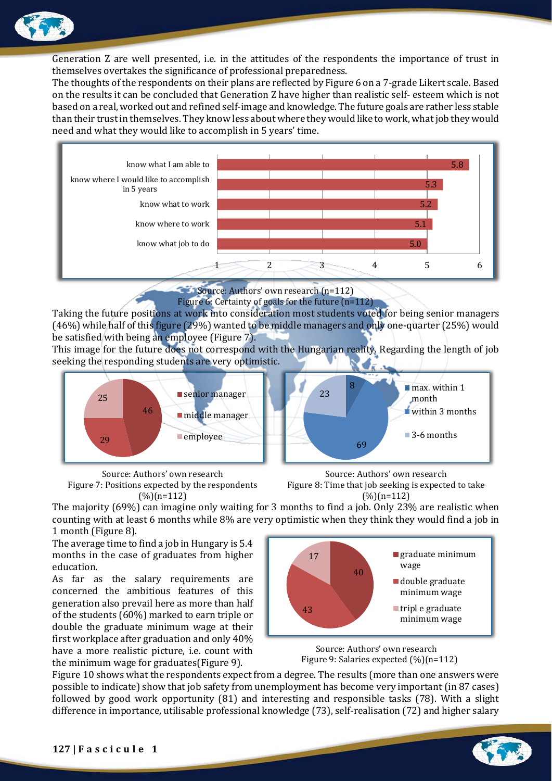

Generation Z are well presented, i.e. in the attitudes of the respondents the importance of trust in themselves overtakes the significance of professional preparedness.

The thoughts of the respondents on their plans are reflected by Figure 6 on a 7-grade Likert scale. Based on the results it can be concluded that Generation Z have higher than realistic self- esteem which is not based on a real, worked out and refined self-image and knowledge. The future goals are rather less stable than their trust in themselves. They know less about where they would like to work, what job they would need and what they would like to accomplish in 5 years' time.



Source: Authors' own research (n=112)

Figure 6: Certainty of goals for the future (n=112)

Taking the future positions at work into consideration most students voted for being senior managers (46%) while half of this figure (29%) wanted to be middle managers and only one-quarter (25%) would be satisfied with being an employee (Figure 7).

This image for the future does not correspond with the Hungarian reality. Regarding the length of job seeking the responding students are very optimistic.



Source: Authors' own research Figure 7: Positions expected by the respondents  $(%)(n=112)$ 

Source: Authors' own research Figure 8: Time that job seeking is expected to take (%)(n=112)

The majority (69%) can imagine only waiting for 3 months to find a job. Only 23% are realistic when counting with at least 6 months while 8% are very optimistic when they think they would find a job in 1 month (Figure 8).

The average time to find a job in Hungary is 5.4 months in the case of graduates from higher education.

As far as the salary requirements are concerned the ambitious features of this generation also prevail here as more than half of the students (60%) marked to earn triple or double the graduate minimum wage at their first workplace after graduation and only 40% have a more realistic picture, i.e. count with the minimum wage for graduates(Figure 9).



Source: Authors' own research Figure 9: Salaries expected (%)(n=112)

Figure 10 shows what the respondents expect from a degree. The results (more than one answers were possible to indicate) show that job safety from unemployment has become very important (in 87 cases) followed by good work opportunity (81) and interesting and responsible tasks (78). With a slight difference in importance, utilisable professional knowledge (73), self-realisation (72) and higher salary

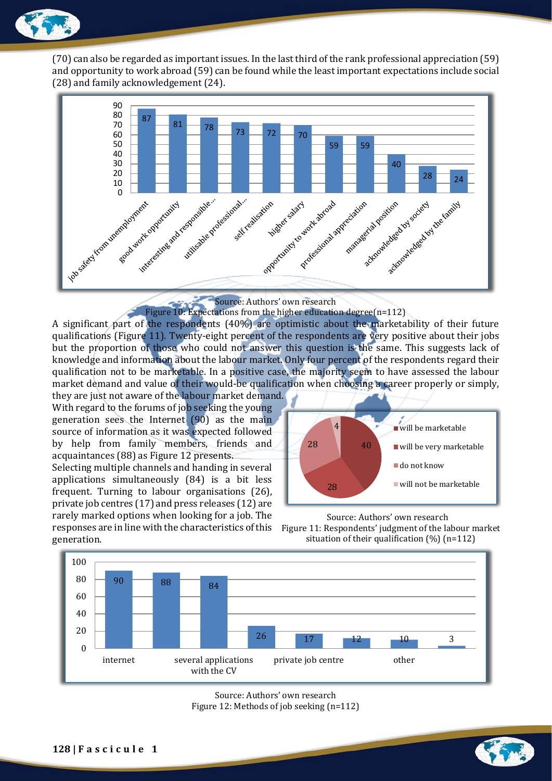

(70) can also be regarded as important issues. In the last third of the rank professional appreciation (59) and opportunity to work abroad (59) can be found while the least important expectations include social (28) and family acknowledgement (24).



Source: Authors' own research

Figure 10: Expectations from the higher education degree(n=112)

A significant part of the respondents (40%) are optimistic about the marketability of their future qualifications (Figure 11). Twenty-eight percent of the respondents are very positive about their jobs but the proportion of those who could not answer this question is the same. This suggests lack of knowledge and information about the labour market. Only four percent of the respondents regard their qualification not to be marketable. In a positive case, the majority seem to have assessed the labour market demand and value of their would-be qualification when choosing a career properly or simply,

they are just not aware of the labour market demand. With regard to the forums of job seeking the young generation sees the Internet (90) as the main source of information as it was expected followed by help from family members, friends and acquaintances (88) as Figure 12 presents.

Selecting multiple channels and handing in several applications simultaneously (84) is a bit less frequent. Turning to labour organisations (26), private job centres (17) and press releases (12) are rarely marked options when looking for a job. The responses are in line with the characteristics of this generation.







Source: Authors' own research Figure 12: Methods of job seeking (n=112)

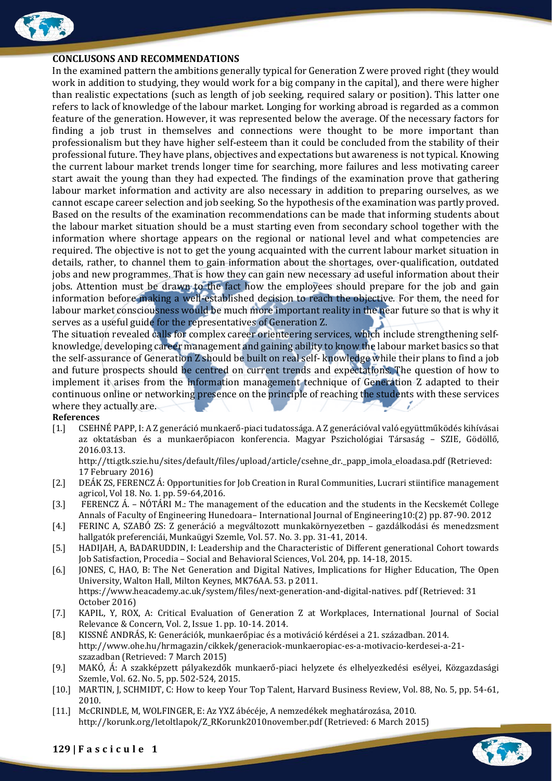

#### **CONCLUSONS AND RECOMMENDATIONS**

In the examined pattern the ambitions generally typical for Generation Z were proved right (they would work in addition to studying, they would work for a big company in the capital), and there were higher than realistic expectations (such as length of job seeking, required salary or position). This latter one refers to lack of knowledge of the labour market. Longing for working abroad is regarded as a common feature of the generation. However, it was represented below the average. Of the necessary factors for finding a job trust in themselves and connections were thought to be more important than professionalism but they have higher self-esteem than it could be concluded from the stability of their professional future. They have plans, objectives and expectations but awareness is not typical. Knowing the current labour market trends longer time for searching, more failures and less motivating career start await the young than they had expected. The findings of the examination prove that gathering labour market information and activity are also necessary in addition to preparing ourselves, as we cannot escape career selection and job seeking. So the hypothesis of the examination was partly proved. Based on the results of the examination recommendations can be made that informing students about the labour market situation should be a must starting even from secondary school together with the information where shortage appears on the regional or national level and what competencies are required. The objective is not to get the young acquainted with the current labour market situation in details, rather, to channel them to gain information about the shortages, over-qualification, outdated jobs and new programmes. That is how they can gain new necessary ad useful information about their jobs. Attention must be drawn to the fact how the employees should prepare for the job and gain information before making a well-established decision to reach the objective. For them, the need for labour market consciousness would be much more important reality in the near future so that is why it serves as a useful guide for the representatives of Generation Z.

The situation revealed calls for complex career orienteering services, which include strengthening selfknowledge, developing career management and gaining ability to know the labour market basics so that the self-assurance of Generation Z should be built on real self- knowledge while their plans to find a job and future prospects should be centred on current trends and expectations. The question of how to implement it arises from the information management technique of Generation Z adapted to their continuous online or networking presence on the principle of reaching the students with these services where they actually are.

#### **References**

[1.] CSEHNÉ PAPP, I: A Z generáció munkaerő-piaci tudatossága. A Z generációval való együttműködés kihívásai az oktatásban és a munkaerőpiacon konferencia. Magyar Pszichológiai Társaság – SZIE, Gödöllő, 2016.03.13.

http://tti.gtk.szie.hu/sites/default/files/upload/article/csehne\_dr.\_papp\_imola\_eloadasa.pdf (Retrieved: 17 February 2016)

- [2.] DEÁK ZS, FERENCZ Á: Opportunities for Job Creation in Rural Communities, Lucrari stiintifice management agricol, Vol 18. No. 1. pp. 59-64,2016.
- [3.] FERENCZ Á. NÓTÁRI M.: The management of the education and the students in the Kecskemét College Annals of Faculty of Engineering Hunedoara– International Journal of Engineering10:(2) pp. 87-90. 2012
- [4.] FERINC A, SZABÓ ZS: Z generáció a megváltozott munkakörnyezetben gazdálkodási és menedzsment hallgatók preferenciái, Munkaügyi Szemle, Vol. 57. No. 3. pp. 31-41, 2014.
- [5.] HADIJAH, A, BADARUDDIN, I: Leadership and the Characteristic of Different generational Cohort towards Job Satisfaction, Procedia – Social and Behavioral Sciences, Vol. 204, pp. 14-18, 2015.
- [6.] JONES, C, HAO, B: The Net Generation and Digital Natives, Implications for Higher Education, The Open University, Walton Hall, Milton Keynes, MK76AA. 53. p 2011. https://www.heacademy.ac.uk/system/files/next-generation-and-digital-natives. pdf (Retrieved: 31 October 2016)
- [7.] KAPIL, Y, ROX, A: Critical Evaluation of Generation Z at Workplaces, International Journal of Social Relevance & Concern, Vol. 2, Issue 1. pp. 10-14. 2014.
- [8.] KISSNÉ ANDRÁS, K: Generációk, munkaerőpiac és a motiváció kérdései a 21. században. 2014. http://www.ohe.hu/hrmagazin/cikkek/generaciok-munkaeropiac-es-a-motivacio-kerdesei-a-21 szazadban (Retrieved: 7 March 2015)
- [9.] MAKÓ, Á: A szakképzett pályakezdők munkaerő-piaci helyzete és elhelyezkedési esélyei, Közgazdasági Szemle, Vol. 62. No. 5, pp. 502-524, 2015.
- [10.] MARTIN, J, SCHMIDT, C: How to keep Your Top Talent, Harvard Business Review, Vol. 88, No. 5, pp. 54-61, 2010.
- [11.] McCRINDLE, M, WOLFINGER, E: Az YXZ ábécéje, A nemzedékek meghatározása, 2010. http://korunk.org/letoltlapok/Z\_RKorunk2010november.pdf (Retrieved: 6 March 2015)